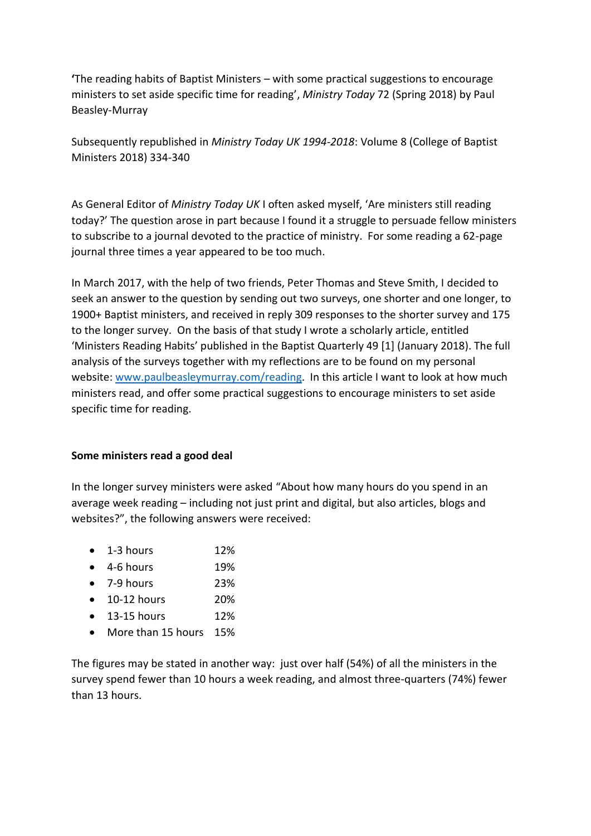**'**The reading habits of Baptist Ministers – with some practical suggestions to encourage ministers to set aside specific time for reading', *Ministry Today* 72 (Spring 2018) by Paul Beasley-Murray

Subsequently republished in *Ministry Today UK 1994-2018*: Volume 8 (College of Baptist Ministers 2018) 334-340

As General Editor of *Ministry Today UK* I often asked myself, 'Are ministers still reading today?' The question arose in part because I found it a struggle to persuade fellow ministers to subscribe to a journal devoted to the practice of ministry. For some reading a 62-page journal three times a year appeared to be too much.

In March 2017, with the help of two friends, Peter Thomas and Steve Smith, I decided to seek an answer to the question by sending out two surveys, one shorter and one longer, to 1900+ Baptist ministers, and received in reply 309 responses to the shorter survey and 175 to the longer survey. On the basis of that study I wrote a scholarly article, entitled 'Ministers Reading Habits' published in the Baptist Quarterly 49 [1] (January 2018). The full analysis of the surveys together with my reflections are to be found on my personal website: [www.paulbeasleymurray.com/reading.](http://www.paulbeasleymurray.com/reading) In this article I want to look at how much ministers read, and offer some practical suggestions to encourage ministers to set aside specific time for reading.

### **Some ministers read a good deal**

In the longer survey ministers were asked "About how many hours do you spend in an average week reading – including not just print and digital, but also articles, blogs and websites?", the following answers were received:

- $\bullet$  1-3 hours 12%
- 4-6 hours 19%
- $\bullet$  7-9 hours 23%
- 10-12 hours 20%
- $\bullet$  13-15 hours 12%
- More than 15 hours 15%

The figures may be stated in another way: just over half (54%) of all the ministers in the survey spend fewer than 10 hours a week reading, and almost three-quarters (74%) fewer than 13 hours.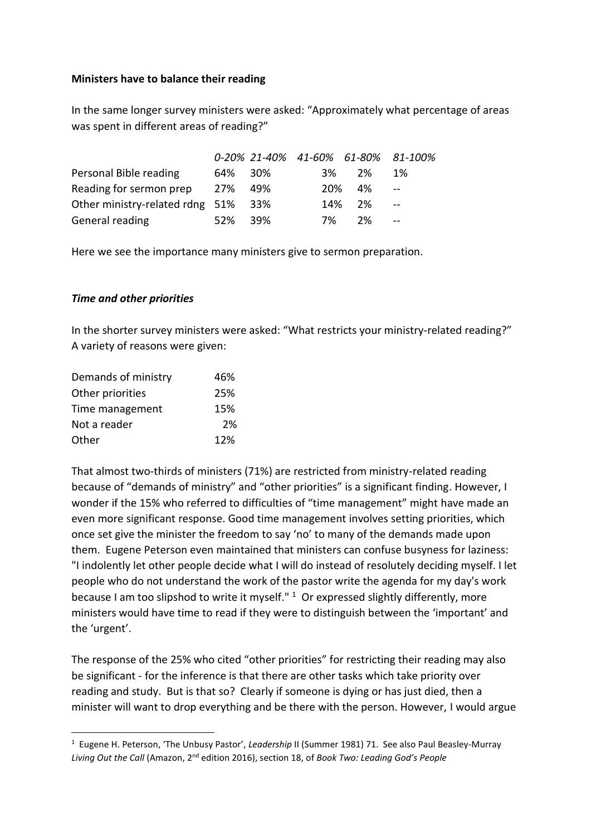## **Ministers have to balance their reading**

In the same longer survey ministers were asked: "Approximately what percentage of areas was spent in different areas of reading?"

|                                     |         |      | 0-20% 21-40% 41-60% 61-80% 81-100% |        |             |
|-------------------------------------|---------|------|------------------------------------|--------|-------------|
| Personal Bible reading              | 64% 30% |      | 3%                                 | 2%     | 1%          |
| Reading for sermon prep             | 27% 49% |      |                                    | 20% 4% | $\sim$ $ -$ |
| Other ministry-related rdng 51% 33% |         |      |                                    | 14% 2% | $\sim$ $-$  |
| General reading                     | 52%     | -39% | 7%                                 | 2%     | $\sim$ $-$  |

Here we see the importance many ministers give to sermon preparation.

## *Time and other priorities*

In the shorter survey ministers were asked: "What restricts your ministry-related reading?" A variety of reasons were given:

| Demands of ministry | 46% |
|---------------------|-----|
| Other priorities    | 25% |
| Time management     | 15% |
| Not a reader        | 2%  |
| Other               | 12% |

That almost two-thirds of ministers (71%) are restricted from ministry-related reading because of "demands of ministry" and "other priorities" is a significant finding. However, I wonder if the 15% who referred to difficulties of "time management" might have made an even more significant response. Good time management involves setting priorities, which once set give the minister the freedom to say 'no' to many of the demands made upon them. Eugene Peterson even maintained that ministers can confuse busyness for laziness: "I indolently let other people decide what I will do instead of resolutely deciding myself. I let people who do not understand the work of the pastor write the agenda for my day's work because I am too slipshod to write it myself." <sup>1</sup> Or expressed slightly differently, more ministers would have time to read if they were to distinguish between the 'important' and the 'urgent'.

The response of the 25% who cited "other priorities" for restricting their reading may also be significant - for the inference is that there are other tasks which take priority over reading and study. But is that so? Clearly if someone is dying or has just died, then a minister will want to drop everything and be there with the person. However, I would argue

<sup>1</sup> Eugene H. Peterson, 'The Unbusy Pastor', *Leadership* II (Summer 1981) 71. See also Paul Beasley-Murray *Living Out the Call* (Amazon, 2nd edition 2016), section 18, of *Book Two: Leading God's People*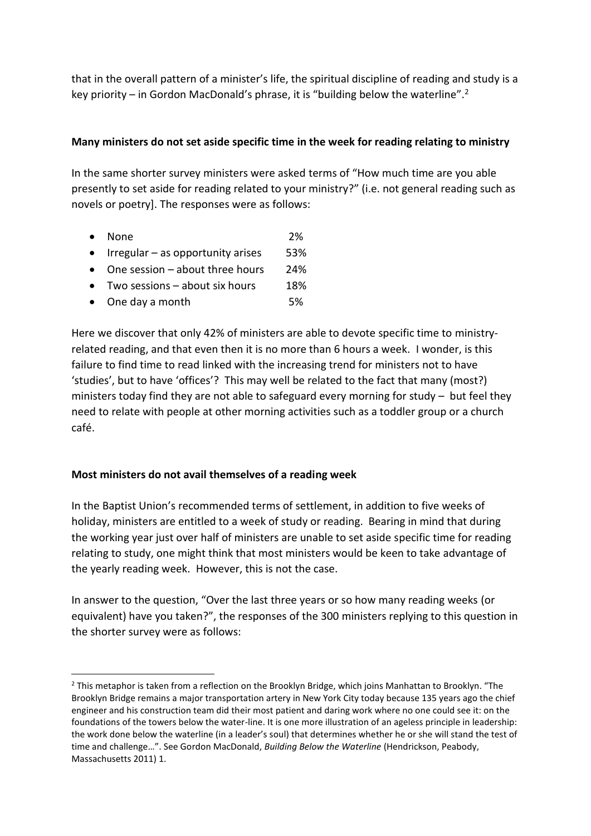that in the overall pattern of a minister's life, the spiritual discipline of reading and study is a key priority – in Gordon MacDonald's phrase, it is "building below the waterline".<sup>2</sup>

## **Many ministers do not set aside specific time in the week for reading relating to ministry**

In the same shorter survey ministers were asked terms of "How much time are you able presently to set aside for reading related to your ministry?" (i.e. not general reading such as novels or poetry]. The responses were as follows:

- None 2%
- Irregular as opportunity arises 53%
- One session about three hours 24%
- Two sessions about six hours 18%
- One day a month 5%

Here we discover that only 42% of ministers are able to devote specific time to ministryrelated reading, and that even then it is no more than 6 hours a week. I wonder, is this failure to find time to read linked with the increasing trend for ministers not to have 'studies', but to have 'offices'? This may well be related to the fact that many (most?) ministers today find they are not able to safeguard every morning for study – but feel they need to relate with people at other morning activities such as a toddler group or a church café.

### **Most ministers do not avail themselves of a reading week**

In the Baptist Union's recommended terms of settlement, in addition to five weeks of holiday, ministers are entitled to a week of study or reading. Bearing in mind that during the working year just over half of ministers are unable to set aside specific time for reading relating to study, one might think that most ministers would be keen to take advantage of the yearly reading week. However, this is not the case.

In answer to the question, "Over the last three years or so how many reading weeks (or equivalent) have you taken?", the responses of the 300 ministers replying to this question in the shorter survey were as follows:

<sup>&</sup>lt;sup>2</sup> This metaphor is taken from a reflection on the Brooklyn Bridge, which joins Manhattan to Brooklyn. "The Brooklyn Bridge remains a major transportation artery in New York City today because 135 years ago the chief engineer and his construction team did their most patient and daring work where no one could see it: on the foundations of the towers below the water-line. It is one more illustration of an ageless principle in leadership: the work done below the waterline (in a leader's soul) that determines whether he or she will stand the test of time and challenge…". See Gordon MacDonald, *Building Below the Waterline* (Hendrickson, Peabody, Massachusetts 2011) 1.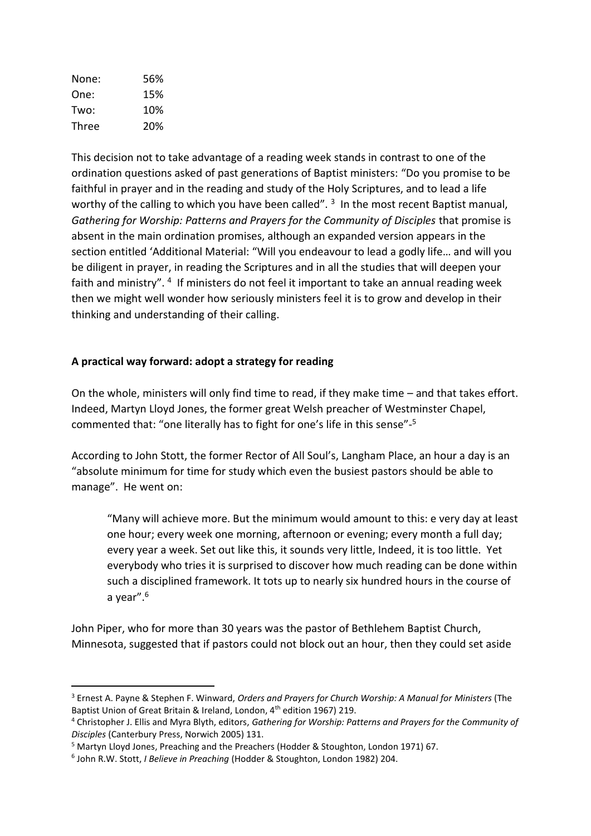| None:        | 56% |
|--------------|-----|
| One:         | 15% |
| Two:         | 10% |
| <b>Three</b> | 20% |

This decision not to take advantage of a reading week stands in contrast to one of the ordination questions asked of past generations of Baptist ministers: "Do you promise to be faithful in prayer and in the reading and study of the Holy Scriptures, and to lead a life worthy of the calling to which you have been called". <sup>3</sup> In the most recent Baptist manual, *Gathering for Worship: Patterns and Prayers for the Community of Disciples* that promise is absent in the main ordination promises, although an expanded version appears in the section entitled 'Additional Material: "Will you endeavour to lead a godly life… and will you be diligent in prayer, in reading the Scriptures and in all the studies that will deepen your faith and ministry". <sup>4</sup> If ministers do not feel it important to take an annual reading week then we might well wonder how seriously ministers feel it is to grow and develop in their thinking and understanding of their calling.

# **A practical way forward: adopt a strategy for reading**

On the whole, ministers will only find time to read, if they make time – and that takes effort. Indeed, Martyn Lloyd Jones, the former great Welsh preacher of Westminster Chapel, commented that: "one literally has to fight for one's life in this sense"- 5

According to John Stott, the former Rector of All Soul's, Langham Place, an hour a day is an "absolute minimum for time for study which even the busiest pastors should be able to manage". He went on:

"Many will achieve more. But the minimum would amount to this: e very day at least one hour; every week one morning, afternoon or evening; every month a full day; every year a week. Set out like this, it sounds very little, Indeed, it is too little. Yet everybody who tries it is surprised to discover how much reading can be done within such a disciplined framework. It tots up to nearly six hundred hours in the course of a year".<sup>6</sup>

John Piper, who for more than 30 years was the pastor of Bethlehem Baptist Church, Minnesota, suggested that if pastors could not block out an hour, then they could set aside

<sup>3</sup> Ernest A. Payne & Stephen F. Winward, *Orders and Prayers for Church Worship: A Manual for Ministers* (The Baptist Union of Great Britain & Ireland, London, 4th edition 1967) 219.

<sup>4</sup> Christopher J. Ellis and Myra Blyth, editors, *Gathering for Worship: Patterns and Prayers for the Community of Disciples* (Canterbury Press, Norwich 2005) 131.

<sup>5</sup> Martyn Lloyd Jones, Preaching and the Preachers (Hodder & Stoughton, London 1971) 67.

<sup>6</sup> John R.W. Stott, *I Believe in Preaching* (Hodder & Stoughton, London 1982) 204.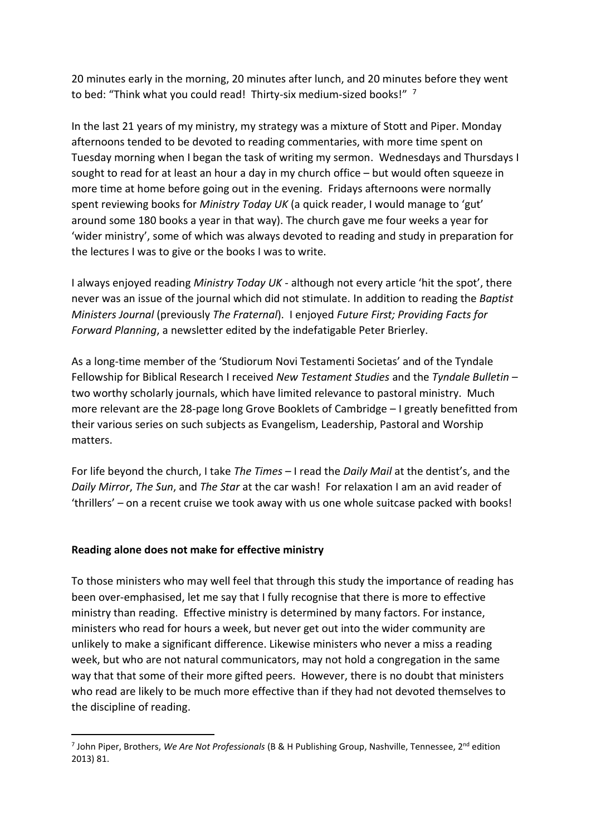20 minutes early in the morning, 20 minutes after lunch, and 20 minutes before they went to bed: "Think what you could read! Thirty-six medium-sized books!" 7

In the last 21 years of my ministry, my strategy was a mixture of Stott and Piper. Monday afternoons tended to be devoted to reading commentaries, with more time spent on Tuesday morning when I began the task of writing my sermon. Wednesdays and Thursdays I sought to read for at least an hour a day in my church office – but would often squeeze in more time at home before going out in the evening. Fridays afternoons were normally spent reviewing books for *Ministry Today UK* (a quick reader, I would manage to 'gut' around some 180 books a year in that way). The church gave me four weeks a year for 'wider ministry', some of which was always devoted to reading and study in preparation for the lectures I was to give or the books I was to write.

I always enjoyed reading *Ministry Today UK* - although not every article 'hit the spot', there never was an issue of the journal which did not stimulate. In addition to reading the *Baptist Ministers Journal* (previously *The Fraternal*). I enjoyed *Future First; Providing Facts for Forward Planning*, a newsletter edited by the indefatigable Peter Brierley.

As a long-time member of the 'Studiorum Novi Testamenti Societas' and of the Tyndale Fellowship for Biblical Research I received *New Testament Studies* and the *Tyndale Bulletin* – two worthy scholarly journals, which have limited relevance to pastoral ministry. Much more relevant are the 28-page long Grove Booklets of Cambridge – I greatly benefitted from their various series on such subjects as Evangelism, Leadership, Pastoral and Worship matters.

For life beyond the church, I take *The Times* – I read the *Daily Mail* at the dentist's, and the *Daily Mirror*, *The Sun*, and *The Star* at the car wash! For relaxation I am an avid reader of 'thrillers' – on a recent cruise we took away with us one whole suitcase packed with books!

# **Reading alone does not make for effective ministry**

To those ministers who may well feel that through this study the importance of reading has been over-emphasised, let me say that I fully recognise that there is more to effective ministry than reading. Effective ministry is determined by many factors. For instance, ministers who read for hours a week, but never get out into the wider community are unlikely to make a significant difference. Likewise ministers who never a miss a reading week, but who are not natural communicators, may not hold a congregation in the same way that that some of their more gifted peers. However, there is no doubt that ministers who read are likely to be much more effective than if they had not devoted themselves to the discipline of reading.

<sup>&</sup>lt;sup>7</sup> John Piper, Brothers, *We Are Not Professionals* (B & H Publishing Group, Nashville, Tennessee, 2<sup>nd</sup> edition 2013) 81.